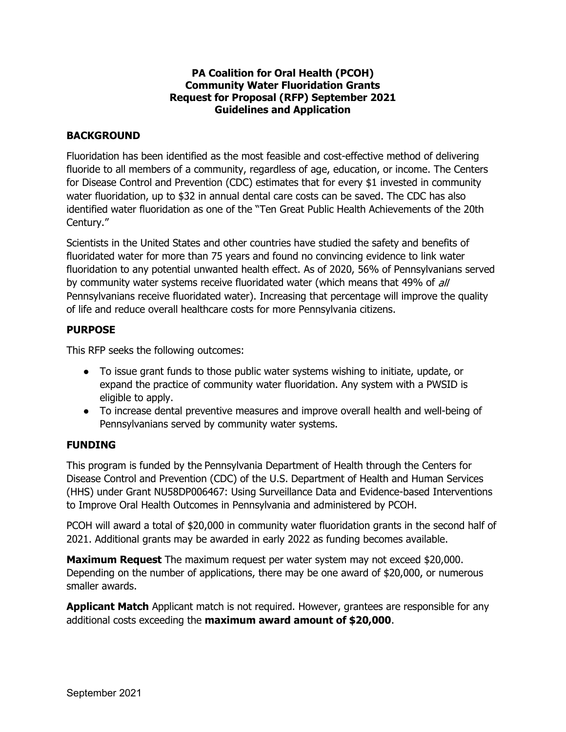## **PA Coalition for Oral Health (PCOH) Community Water Fluoridation Grants Request for Proposal (RFP) September 2021 Guidelines and Application**

## **BACKGROUND**

Fluoridation has been identified as the most feasible and cost-effective method of delivering fluoride to all members of a community, regardless of age, education, or income. The Centers for Disease Control and Prevention (CDC) estimates that for every \$1 invested in community water fluoridation, up to \$32 in annual dental care costs can be saved. The CDC has also identified water fluoridation as one of the "Ten Great Public Health Achievements of the 20th Century."

Scientists in the United States and other countries have studied the safety and benefits of fluoridated water for more than 75 years and found no convincing evidence to link water fluoridation to any potential unwanted health effect. As of 2020, 56% of Pennsylvanians served by community water systems receive fluoridated water (which means that 49% of all Pennsylvanians receive fluoridated water). Increasing that percentage will improve the quality of life and reduce overall healthcare costs for more Pennsylvania citizens.

# **PURPOSE**

This RFP seeks the following outcomes:

- To issue grant funds to those public water systems wishing to initiate, update, or expand the practice of community water fluoridation. Any system with a PWSID is eligible to apply.
- To increase dental preventive measures and improve overall health and well-being of Pennsylvanians served by community water systems.

### **FUNDING**

This program is funded by the Pennsylvania Department of Health through the Centers for Disease Control and Prevention (CDC) of the U.S. Department of Health and Human Services (HHS) under Grant NU58DP006467: Using Surveillance Data and Evidence-based Interventions to Improve Oral Health Outcomes in Pennsylvania and administered by PCOH.

PCOH will award a total of \$20,000 in community water fluoridation grants in the second half of 2021. Additional grants may be awarded in early 2022 as funding becomes available.

**Maximum Request** The maximum request per water system may not exceed \$20,000. Depending on the number of applications, there may be one award of \$20,000, or numerous smaller awards.

**Applicant Match** Applicant match is not required. However, grantees are responsible for any additional costs exceeding the **maximum award amount of \$20,000**.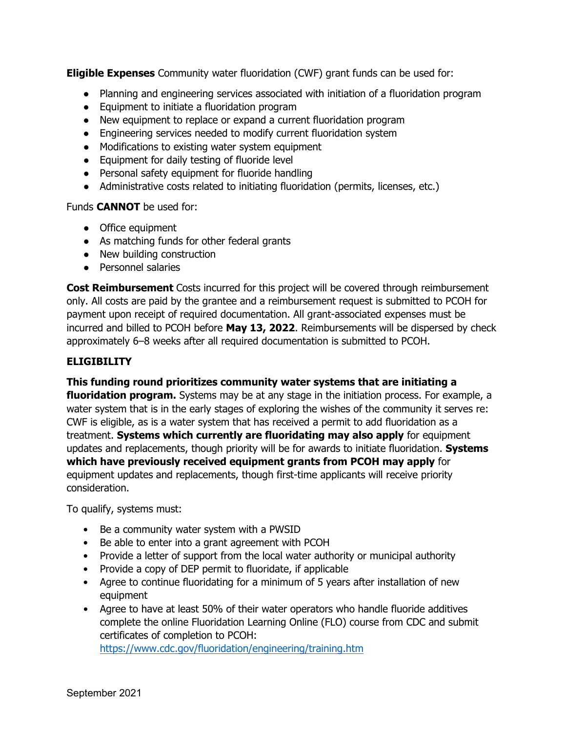**Eligible Expenses** Community water fluoridation (CWF) grant funds can be used for:

- Planning and engineering services associated with initiation of a fluoridation program
- Equipment to initiate a fluoridation program
- New equipment to replace or expand a current fluoridation program
- Engineering services needed to modify current fluoridation system
- Modifications to existing water system equipment
- Equipment for daily testing of fluoride level
- Personal safety equipment for fluoride handling
- Administrative costs related to initiating fluoridation (permits, licenses, etc.)

Funds **CANNOT** be used for:

- Office equipment
- As matching funds for other federal grants
- New building construction
- Personnel salaries

**Cost Reimbursement** Costs incurred for this project will be covered through reimbursement only. All costs are paid by the grantee and a reimbursement request is submitted to PCOH for payment upon receipt of required documentation. All grant-associated expenses must be incurred and billed to PCOH before **May 13, 2022**. Reimbursements will be dispersed by check approximately 6–8 weeks after all required documentation is submitted to PCOH.

### **ELIGIBILITY**

**This funding round prioritizes community water systems that are initiating a** 

**fluoridation program.** Systems may be at any stage in the initiation process. For example, a water system that is in the early stages of exploring the wishes of the community it serves re: CWF is eligible, as is a water system that has received a permit to add fluoridation as a treatment. **Systems which currently are fluoridating may also apply** for equipment updates and replacements, though priority will be for awards to initiate fluoridation. **Systems which have previously received equipment grants from PCOH may apply** for equipment updates and replacements, though first-time applicants will receive priority consideration.

To qualify, systems must:

- Be a community water system with a PWSID
- Be able to enter into a grant agreement with PCOH
- Provide a letter of support from the local water authority or municipal authority
- Provide a copy of DEP permit to fluoridate, if applicable
- Agree to continue fluoridating for a minimum of 5 years after installation of new equipment
- Agree to have at least 50% of their water operators who handle fluoride additives complete the online Fluoridation Learning Online (FLO) course from CDC and submit certificates of completion to PCOH: https://www.cdc.gov/fluoridation/engineering/training.htm